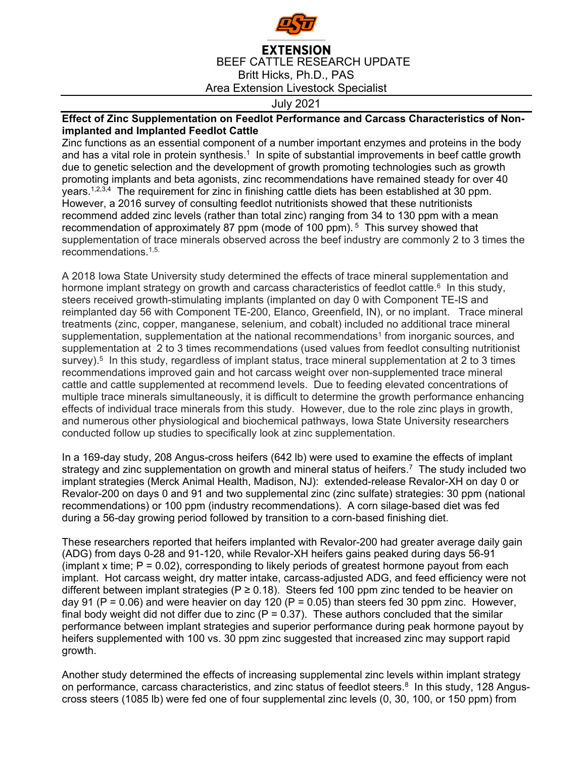

## **EXTENSION** BEEF CATTLE RESEARCH UPDATE Britt Hicks, Ph.D., PAS Area Extension Livestock Specialist

July 2021

## **Effect of Zinc Supplementation on Feedlot Performance and Carcass Characteristics of Nonimplanted and Implanted Feedlot Cattle**

Zinc functions as an essential component of a number important enzymes and proteins in the body and has a vital role in protein synthesis.<sup>1</sup> In spite of substantial improvements in beef cattle growth due to genetic selection and the development of growth promoting technologies such as growth promoting implants and beta agonists, zinc recommendations have remained steady for over 40 years.1,2,3,4 The requirement for zinc in finishing cattle diets has been established at 30 ppm. However, a 2016 survey of consulting feedlot nutritionists showed that these nutritionists recommend added zinc levels (rather than total zinc) ranging from 34 to 130 ppm with a mean recommendation of approximately 87 ppm (mode of 100 ppm).<sup>5</sup> This survey showed that supplementation of trace minerals observed across the beef industry are commonly 2 to 3 times the recommendations.1,5.

A 2018 Iowa State University study determined the effects of trace mineral supplementation and hormone implant strategy on growth and carcass characteristics of feedlot cattle.<sup>6</sup> In this study, steers received growth-stimulating implants (implanted on day 0 with Component TE-IS and reimplanted day 56 with Component TE-200, Elanco, Greenfield, IN), or no implant. Trace mineral treatments (zinc, copper, manganese, selenium, and cobalt) included no additional trace mineral supplementation, supplementation at the national recommendations<sup>1</sup> from inorganic sources, and supplementation at 2 to 3 times recommendations (used values from feedlot consulting nutritionist survey).<sup>5</sup> In this study, regardless of implant status, trace mineral supplementation at 2 to 3 times recommendations improved gain and hot carcass weight over non-supplemented trace mineral cattle and cattle supplemented at recommend levels. Due to feeding elevated concentrations of multiple trace minerals simultaneously, it is difficult to determine the growth performance enhancing effects of individual trace minerals from this study. However, due to the role zinc plays in growth, and numerous other physiological and biochemical pathways, Iowa State University researchers conducted follow up studies to specifically look at zinc supplementation.

In a 169-day study, 208 Angus-cross heifers (642 lb) were used to examine the effects of implant strategy and zinc supplementation on growth and mineral status of heifers.<sup>7</sup> The study included two implant strategies (Merck Animal Health, Madison, NJ): extended-release Revalor-XH on day 0 or Revalor-200 on days 0 and 91 and two supplemental zinc (zinc sulfate) strategies: 30 ppm (national recommendations) or 100 ppm (industry recommendations). A corn silage-based diet was fed during a 56-day growing period followed by transition to a corn-based finishing diet.

These researchers reported that heifers implanted with Revalor-200 had greater average daily gain (ADG) from days 0-28 and 91-120, while Revalor-XH heifers gains peaked during days 56-91 (implant x time;  $P = 0.02$ ), corresponding to likely periods of greatest hormone payout from each implant. Hot carcass weight, dry matter intake, carcass-adjusted ADG, and feed efficiency were not different between implant strategies ( $P \ge 0.18$ ). Steers fed 100 ppm zinc tended to be heavier on day 91 ( $P = 0.06$ ) and were heavier on day 120 ( $P = 0.05$ ) than steers fed 30 ppm zinc. However, final body weight did not differ due to zinc ( $P = 0.37$ ). These authors concluded that the similar performance between implant strategies and superior performance during peak hormone payout by heifers supplemented with 100 vs. 30 ppm zinc suggested that increased zinc may support rapid growth.

Another study determined the effects of increasing supplemental zinc levels within implant strategy on performance, carcass characteristics, and zinc status of feedlot steers.<sup>8</sup> In this study, 128 Anguscross steers (1085 lb) were fed one of four supplemental zinc levels (0, 30, 100, or 150 ppm) from